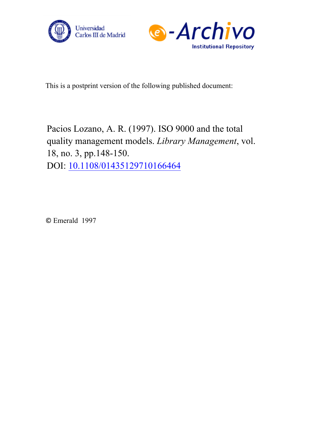



This is [a postprint version of the following publishe](https://doi.org/10.1108/01435129710166464)d document:

Pacios Lozano, A. R. (1997). ISO 9000 and the total quality management models. *Library Management*, vol. 18, no. 3, pp.148-150. DOI: 10.1108/01435129710166464

© Emerald 1997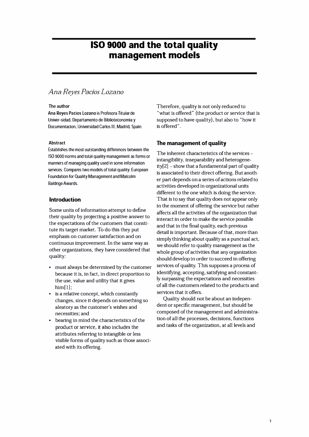# **ISO 9000 and the total quality management models**

# *Ana Reyes Pacías Lozano*

#### The author

**Ana Reyes Pacios Lozano** is Profesora Titular de Univer-sidad, Departamento de Biblioteconomía y Documentacion, Universidad Carlos III, Madrid, Spain.

#### **Abstract**

Establishes the most outstanding differences between the ISO 9000 norms and total quality management as forms or manners of managing quality used in sorne information services. Compares two models of total quality: European Foundation for Quality Management and Malcolm Baldrige Awards.

# **lntroduction**

Sorne units of information attempt to define their quality by projecting a positive answer to the expectations of the customers that constitute its target market. To do this they put emphasis on customer satisfaction and on continuous improvement. In the same way as other organizations, they have considered that quality:

- must always be determined by the customer because it is, in fact, in direct proportion to the use, value and utility that it gives him[1]:
- is a relative concept, which constantly changes, since it depends on something so aleatory as the customer's wishes and necessities; and
- bearing in mind the characteristics of the product or servlce, it also includes the attributes referring to intangible or less visible forms of quality such as those associated with its offering.

Therefore, quality is not only reduced to "what is offered" (the product or service that is supposed to have quality), but also to "how it is offered" .

# **The management of quality**

The inherent characteristics of the services intangibility, inseparability and heterogene $ity[2]$  – show that a fundamental part of quality is associated to their direct offering. But another part depends on a series of actions related to activities developed in organizational units different to the one which is doing the service. That is to say that quality does not appear only in the moment of offering the service but rather affects all the activities of the organization that interact in order to make the service possible and that in the final quality, each previous detall is important. Because of that, more than simply thinking about quality as a punctual act, we should refer to quality management as the whole group of activities that any organization should develop in order to succeed in offering services of quality. This supposes a process of identifying, accepting, satisfying and constantly surpassing the expectations and necessities of all the customers related to the products and services that it offers.

Quality should not be about an independent or specific management, but should be composed of the management and administration of all the processes, decisions, functions and tasks of the organization, at all levels and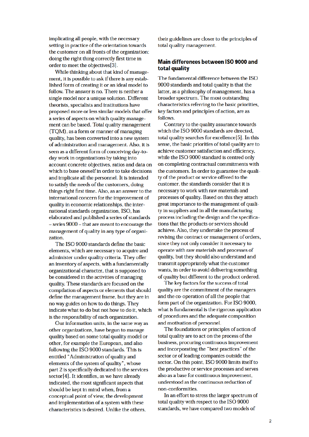implicating all people, with the necessary setting in practice of the orientation towards the customer on all fronts of the organization; doing the right thing correctly first time in order to meet the objectives[3].

While thinking about that kind of management, it is possible to ask if there is any established form of creating it or an ideal model to follow. The answer is no. There is neither a single model nor a unique solution. Different theorists, specialists and institutions have proposed more or less similar models that offer a series of aspects on which quality management can be based. Total quality management (TQM), as a form or manner of managing quality, has been converted into a new system of administration and management. Also, it is seen as a different form of conceiving day-today work in organizations by taking into account concrete objectives, ratios and data on which to base oneself in order to take decisions and implicate all the personnel. It is intended to satisfy the needs of the customers, doing things right first time. Also, as an answer to the international concern for the improvement of quality in economic relationships, the international standards organization, ISO, has elaborated and published a series of standards –series 9000 – that are meant to encourage the management of quality in any type of organization.

The ISO 9000 standards define the basic elements, which are necessary to acquire and administer under quality criteria. They offer an inventory of aspects, with a fundamentally organizational character, that is supposed to be considered in the activities of managing quality. These standards are focused on the compilation of aspects or elements that should define the management frame, but they are in no way guides on how to do things. They indicate what to do but not how to do it, which is the responsibility of each organization.

Our information units, in the same way as other organizations, have begun to manage quality based on some total quality model or other, for example the European, and also following the ISO 9000 standards. This is entitled "Administration of quality and elements of the system of quality", whose part 2 is specifically dedicated to the services sector[4]. It identifies, as we have already indicated, the most significant aspects that should be kept in mind when, from a conceptual point of view, the development and implementation of a system with these characteristics is desired. Unlike the others,

their guidelines are closer to the principles of total quality management.

## Main differences between ISO 9000 and total quality

The fundamental difference between the ISO 9000 standards and total quality is that the latter, as a philosophy of management, has a broader spectrum. The most outstanding characteristics referring to the basic priorities, key factors and principles of action, are as follows.

Contrary to the quality assurance towards which the ISO 9000 standards are directed, total quality searches for excellence[5]. In this sense, the basic priorities of total quality are to achieve customer satisfaction and efficiency, while the ISO 9000 standard is centred only on completing contractual commitments with the customers. In order to guarantee the quality of the product or service offered to the customer, the standards consider that it is necessary to work with raw materials and processes of quality. Based on this they attach great importance to the management of quality in suppliers and in all the manufacturing process including the design and the specifications that the products or services should achieve. Also, they undertake the process of revising the contract or management of orders, since they not only consider it necessary to operate with raw materials and processes of quality, but they should also understand and transmit appropriately what the customer wants, in order to avoid delivering something of quality but different to the product ordered.

The key factors for the success of total quality are the commitment of the managers and the co-operation of all the people that form part of the organization. For ISO 9000, what is fundamental is the rigorous application of procedures and the adequate composition and motivation of personnel.

The foundations or principles of action of total quality are to act on the process of the business, procuring continuous improvement and incorporating the "best practices" of the sector or of leading companies outside the sector. On this point, ISO 9000 limits itself to the productive or service processes and serves also as a base for continuous improvement, understood as the continuous reduction of non-conformities.

In an effort to stress the larger spectrum of total quality with respect to the ISO 9000 standards, we have compared two models of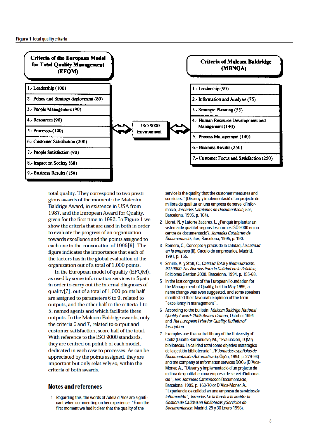

total quality. They correspond to two prestigious awards of the moment: the Malcolm Baldrige Award, in existence in USA from 1987, and the European Award for Quality, given for the first time in 1992. In Figure 1 we show the criteria that are used in both in order to evaluate the progress of an organization towards excellence and the points assigned to each one in the convocation of 1995[6]. The figure indicates the importance that each of the factors has in the global evaluation of the organization out of a total of 1,000 points.

In the European model of quality (EFOM), as used by some information services in Spain in order to carry out the internal diagnoses of quality[7], out of a total of 1,000 points half are assigned to parameters 6 to 9, related to outputs, and the other half to the criteria 1 to 5, named agents and which facilitate these outputs. In the Malcom Baldrige awards, only the criteria 6 and 7, related to output and customer satisfaction, score half of the total. With reference to the ISO 9000 standards, they are centred on point 5 of each model, dedicated in each case to processes. As can be appreciated by the points assigned, they are important but only relatively so, within the criteria of both awards.

### Notes and references

1 Regarding this, the words of Adela d´Alos are significant when commenting on her experience: "From the first moment we had it clear that the quality of the

service is the quality that the customer measures and considers." (Disseny y implementació d´un projecte de millora de qualitat en una empresa de servei d´informació, Jornades Catalanes de Documentació, 5es, Barcelona, 1995, p. 164).

- 2 Lloret, N. y Latorre Zacares, J., ¿Per què implantar un sistema de qualitat segons les normes ISO 9000 en un centre de documentació?, Jornades Catalanes de Documentació, 5es, Barcelona, 1995, p. 190.
- 3 Romero, C., Concepto y praxis de la calidad, La calidad en la empresa(II), Círculo de empresarios, Madrid, 1991, p. 155.
- 4 Senille, A. y Stoll, G., Calidad Total y Normalización: ISO 9000. Las Normas Para la Calidad en la Práctica, Ediciones Gestión 2000, Barcelona, 1994, p. 155-68.
- 5 In the last congress of the European Foundation for the Management of Quality, held in May 1995, a name change was even suggested, and some speakers manifested their favourable opinion of the term "excellency in management".
- 6 According to the bulletin: Malcom Baldrige National Quality Award: 1995 Award Criteria, October 1994 and The European Prize for Quality: Bulletin of Inscription.
- 7 Examples are: the central library of the University of Cádiz (Duarte Barrionuevo, M., "Evaluación, TQM y bibliotecas. La calidad total como objetivo estratégico de la gestión bibliotecaria", IV Jornadas españolas de Documentación Automatizada, Gijón, 1994, p. 279-93) and the company of information services DOC6 (D'Alos-Moner, A., "Disseny y implementació d'un projecte de millora de qualitat en una empresa de servei d'informació", 5es. Jornades Catalanesde Documentació, Barcelona, 1995, p. 163-70 or D'Alos-Moner, A., "Experiencia de calidad en una empresa de servicios de información", Jornadas De la teoría a la acción: la Gestión de Calidad en Bibliotecas y Servicios de Documentación. Madrid, 29 y 30 Enero 1996).